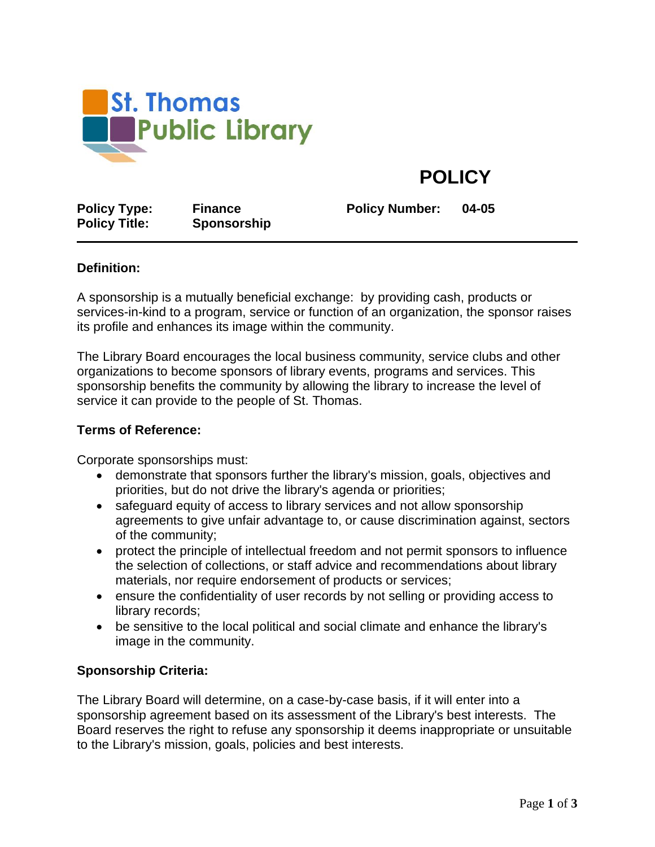

# **POLICY**

**Policy Type: Finance Policy Number: 04-05 Policy Title: Sponsorship**

# **Definition:**

A sponsorship is a mutually beneficial exchange: by providing cash, products or services-in-kind to a program, service or function of an organization, the sponsor raises its profile and enhances its image within the community.

The Library Board encourages the local business community, service clubs and other organizations to become sponsors of library events, programs and services. This sponsorship benefits the community by allowing the library to increase the level of service it can provide to the people of St. Thomas.

## **Terms of Reference:**

Corporate sponsorships must:

- demonstrate that sponsors further the library's mission, goals, objectives and priorities, but do not drive the library's agenda or priorities;
- safeguard equity of access to library services and not allow sponsorship agreements to give unfair advantage to, or cause discrimination against, sectors of the community;
- protect the principle of intellectual freedom and not permit sponsors to influence the selection of collections, or staff advice and recommendations about library materials, nor require endorsement of products or services;
- ensure the confidentiality of user records by not selling or providing access to library records;
- be sensitive to the local political and social climate and enhance the library's image in the community.

# **Sponsorship Criteria:**

The Library Board will determine, on a case-by-case basis, if it will enter into a sponsorship agreement based on its assessment of the Library's best interests. The Board reserves the right to refuse any sponsorship it deems inappropriate or unsuitable to the Library's mission, goals, policies and best interests.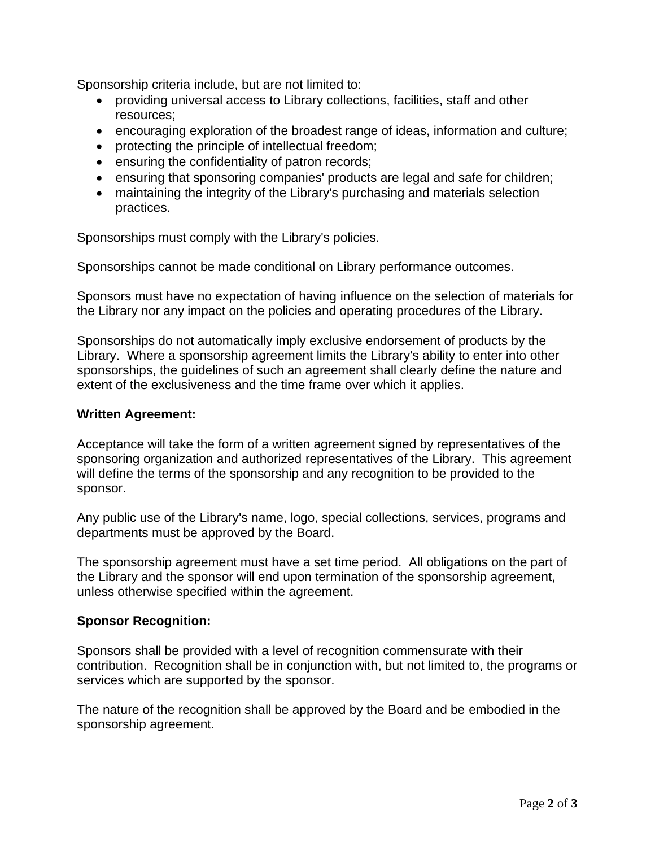Sponsorship criteria include, but are not limited to:

- providing universal access to Library collections, facilities, staff and other resources;
- encouraging exploration of the broadest range of ideas, information and culture;
- protecting the principle of intellectual freedom;
- ensuring the confidentiality of patron records;
- ensuring that sponsoring companies' products are legal and safe for children;
- maintaining the integrity of the Library's purchasing and materials selection practices.

Sponsorships must comply with the Library's policies.

Sponsorships cannot be made conditional on Library performance outcomes.

Sponsors must have no expectation of having influence on the selection of materials for the Library nor any impact on the policies and operating procedures of the Library.

Sponsorships do not automatically imply exclusive endorsement of products by the Library. Where a sponsorship agreement limits the Library's ability to enter into other sponsorships, the guidelines of such an agreement shall clearly define the nature and extent of the exclusiveness and the time frame over which it applies.

### **Written Agreement:**

Acceptance will take the form of a written agreement signed by representatives of the sponsoring organization and authorized representatives of the Library. This agreement will define the terms of the sponsorship and any recognition to be provided to the sponsor.

Any public use of the Library's name, logo, special collections, services, programs and departments must be approved by the Board.

The sponsorship agreement must have a set time period. All obligations on the part of the Library and the sponsor will end upon termination of the sponsorship agreement, unless otherwise specified within the agreement.

#### **Sponsor Recognition:**

Sponsors shall be provided with a level of recognition commensurate with their contribution. Recognition shall be in conjunction with, but not limited to, the programs or services which are supported by the sponsor.

The nature of the recognition shall be approved by the Board and be embodied in the sponsorship agreement.